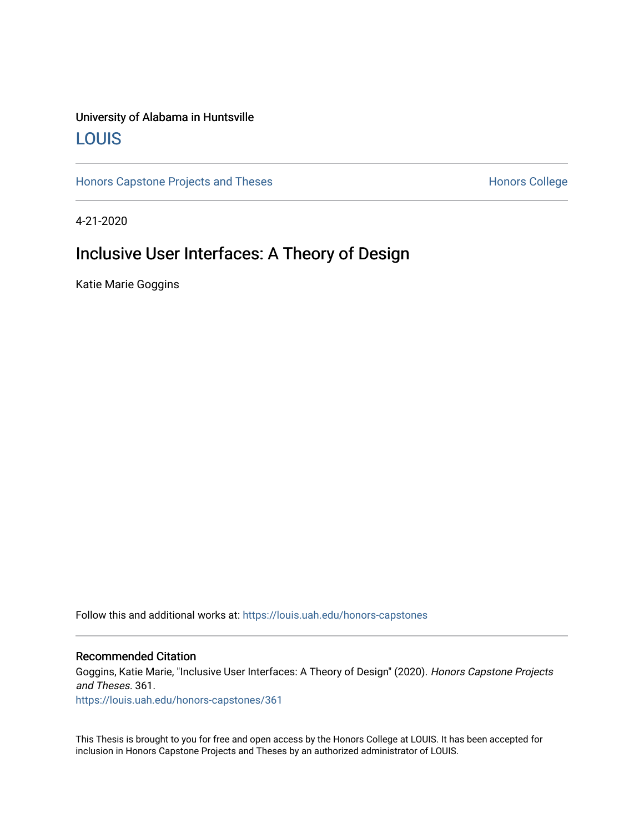# University of Alabama in Huntsville [LOUIS](https://louis.uah.edu/)

[Honors Capstone Projects and Theses](https://louis.uah.edu/honors-capstones) **Honors College** Honors College

4-21-2020

# Inclusive User Interfaces: A Theory of Design

Katie Marie Goggins

Follow this and additional works at: [https://louis.uah.edu/honors-capstones](https://louis.uah.edu/honors-capstones?utm_source=louis.uah.edu%2Fhonors-capstones%2F361&utm_medium=PDF&utm_campaign=PDFCoverPages) 

#### Recommended Citation

Goggins, Katie Marie, "Inclusive User Interfaces: A Theory of Design" (2020). Honors Capstone Projects and Theses. 361.

[https://louis.uah.edu/honors-capstones/361](https://louis.uah.edu/honors-capstones/361?utm_source=louis.uah.edu%2Fhonors-capstones%2F361&utm_medium=PDF&utm_campaign=PDFCoverPages) 

This Thesis is brought to you for free and open access by the Honors College at LOUIS. It has been accepted for inclusion in Honors Capstone Projects and Theses by an authorized administrator of LOUIS.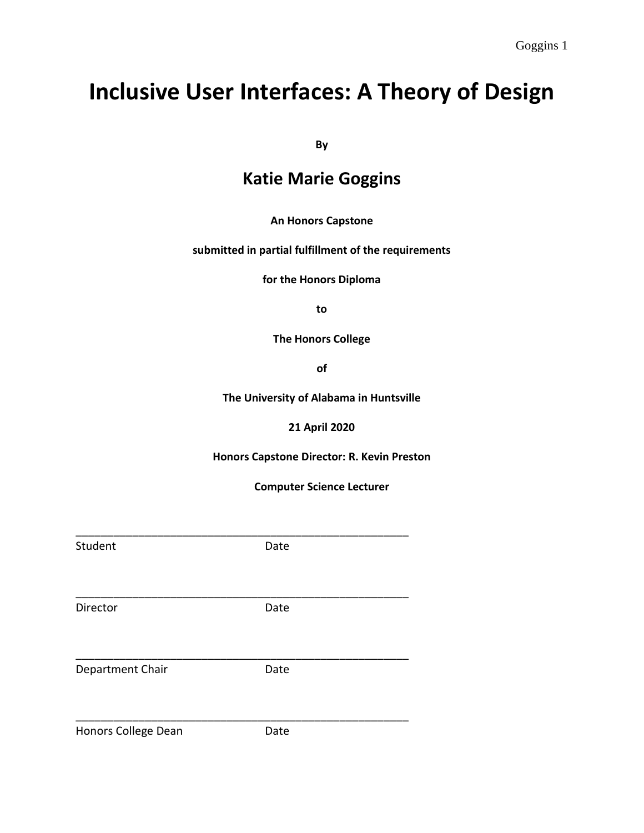# **Inclusive User Interfaces: A Theory of Design**

**By**

# **Katie Marie Goggins**

## **An Honors Capstone**

## **submitted in partial fulfillment of the requirements**

**for the Honors Diploma**

**to** 

**The Honors College** 

**of** 

**The University of Alabama in Huntsville**

**21 April 2020**

**Honors Capstone Director: R. Kevin Preston**

**Computer Science Lecturer**

| Student             | Date |  |
|---------------------|------|--|
|                     |      |  |
| Director            | Date |  |
| Department Chair    | Date |  |
| Honors College Dean | Date |  |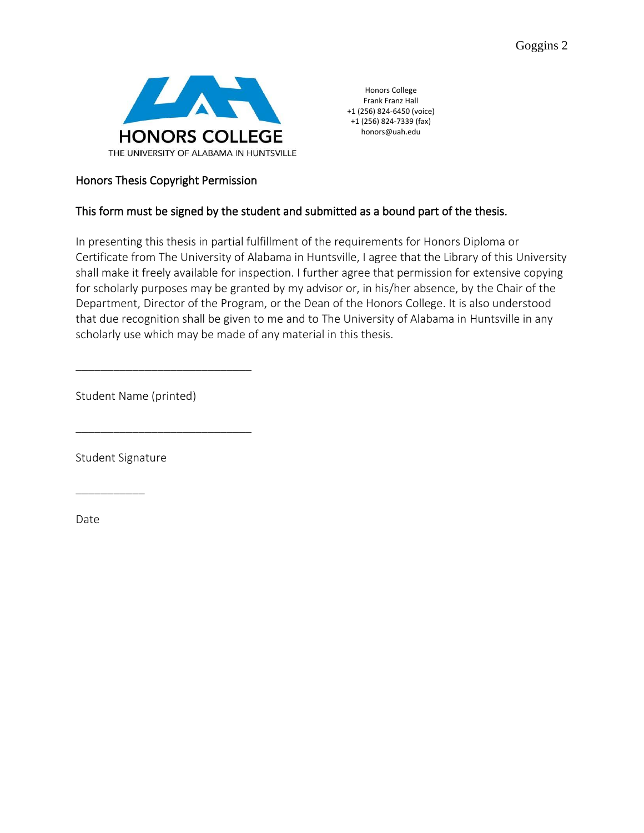

Honors College Frank Franz Hall +1 (256) 824-6450 (voice) +1 (256) 824-7339 (fax) honors@uah.edu

# Honors Thesis Copyright Permission

# This form must be signed by the student and submitted as a bound part of the thesis.

In presenting this thesis in partial fulfillment of the requirements for Honors Diploma or Certificate from The University of Alabama in Huntsville, I agree that the Library of this University shall make it freely available for inspection. I further agree that permission for extensive copying for scholarly purposes may be granted by my advisor or, in his/her absence, by the Chair of the Department, Director of the Program, or the Dean of the Honors College. It is also understood that due recognition shall be given to me and to The University of Alabama in Huntsville in any scholarly use which may be made of any material in this thesis.

Student Name (printed)

\_\_\_\_\_\_\_\_\_\_\_\_\_\_\_\_\_\_\_\_\_\_\_\_\_\_\_\_

\_\_\_\_\_\_\_\_\_\_\_\_\_\_\_\_\_\_\_\_\_\_\_\_\_\_\_\_

Student Signature

\_\_\_\_\_\_\_\_\_\_\_

Date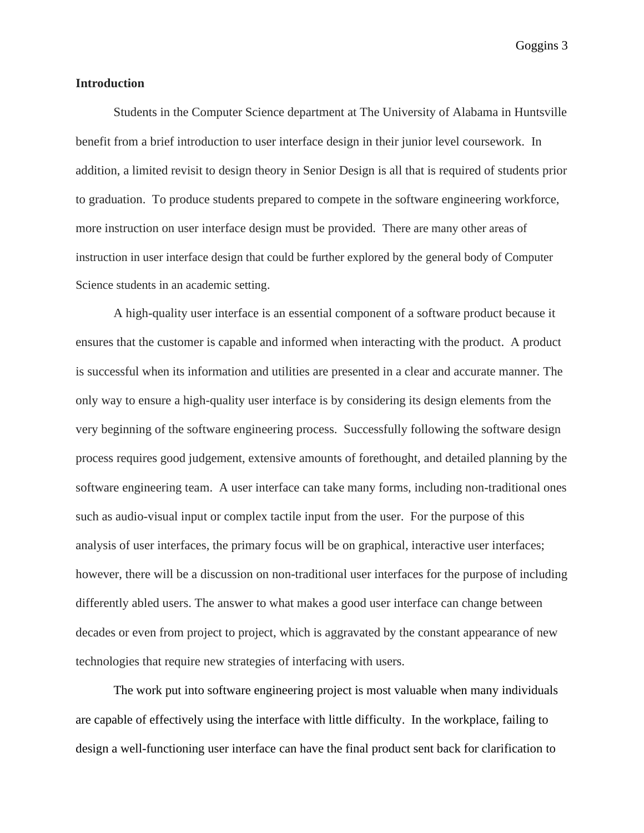## **Introduction**

Students in the Computer Science department at The University of Alabama in Huntsville benefit from a brief introduction to user interface design in their junior level coursework. In addition, a limited revisit to design theory in Senior Design is all that is required of students prior to graduation. To produce students prepared to compete in the software engineering workforce, more instruction on user interface design must be provided. There are many other areas of instruction in user interface design that could be further explored by the general body of Computer Science students in an academic setting.

A high-quality user interface is an essential component of a software product because it ensures that the customer is capable and informed when interacting with the product. A product is successful when its information and utilities are presented in a clear and accurate manner. The only way to ensure a high-quality user interface is by considering its design elements from the very beginning of the software engineering process. Successfully following the software design process requires good judgement, extensive amounts of forethought, and detailed planning by the software engineering team. A user interface can take many forms, including non-traditional ones such as audio-visual input or complex tactile input from the user. For the purpose of this analysis of user interfaces, the primary focus will be on graphical, interactive user interfaces; however, there will be a discussion on non-traditional user interfaces for the purpose of including differently abled users. The answer to what makes a good user interface can change between decades or even from project to project, which is aggravated by the constant appearance of new technologies that require new strategies of interfacing with users.

The work put into software engineering project is most valuable when many individuals are capable of effectively using the interface with little difficulty. In the workplace, failing to design a well-functioning user interface can have the final product sent back for clarification to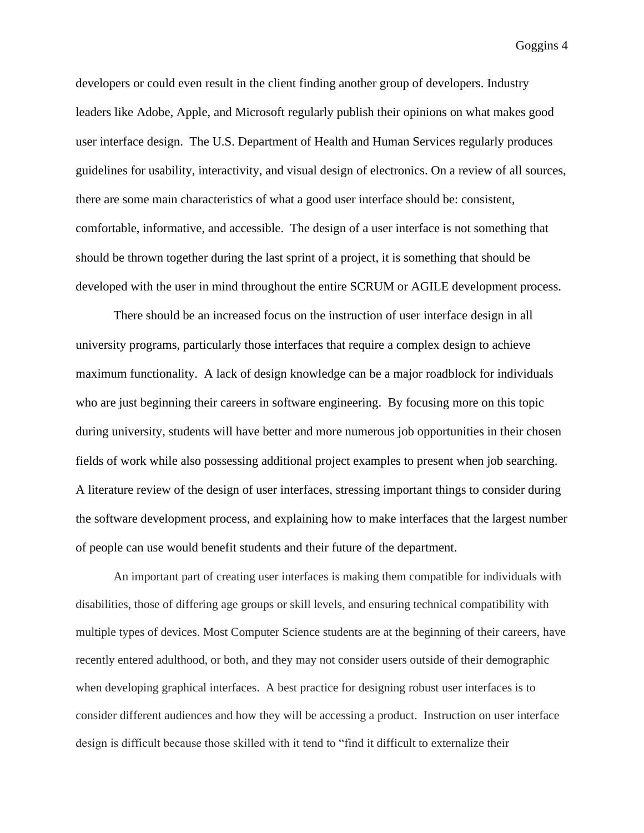developers or could even result in the client finding another group of developers. Industry leaders like Adobe, Apple, and Microsoft regularly publish their opinions on what makes good user interface design. The U.S. Department of Health and Human Services regularly produces guidelines for usability, interactivity, and visual design of electronics. On a review of all sources, there are some main characteristics of what a good user interface should be: consistent, comfortable, informative, and accessible. The design of a user interface is not something that should be thrown together during the last sprint of a project, it is something that should be developed with the user in mind throughout the entire SCRUM or AGILE development process.

There should be an increased focus on the instruction of user interface design in all university programs, particularly those interfaces that require a complex design to achieve maximum functionality. A lack of design knowledge can be a major roadblock for individuals who are just beginning their careers in software engineering. By focusing more on this topic during university, students will have better and more numerous job opportunities in their chosen fields of work while also possessing additional project examples to present when job searching. A literature review of the design of user interfaces, stressing important things to consider during the software development process, and explaining how to make interfaces that the largest number of people can use would benefit students and their future of the department.

An important part of creating user interfaces is making them compatible for individuals with disabilities, those of differing age groups or skill levels, and ensuring technical compatibility with multiple types of devices. Most Computer Science students are at the beginning of their careers, have recently entered adulthood, or both, and they may not consider users outside of their demographic when developing graphical interfaces. A best practice for designing robust user interfaces is to consider different audiences and how they will be accessing a product. Instruction on user interface design is difficult because those skilled with it tend to "find it difficult to externalize their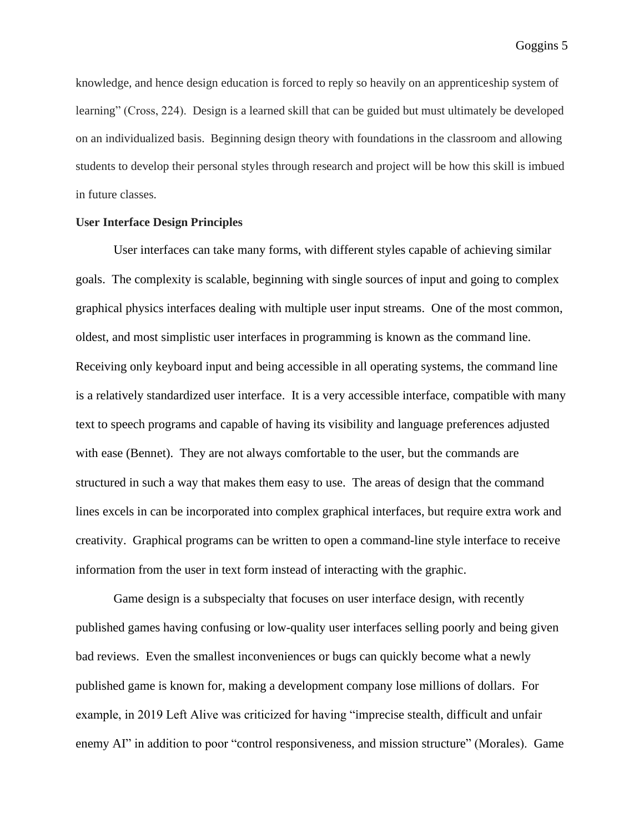knowledge, and hence design education is forced to reply so heavily on an apprenticeship system of learning" (Cross, 224). Design is a learned skill that can be guided but must ultimately be developed on an individualized basis. Beginning design theory with foundations in the classroom and allowing students to develop their personal styles through research and project will be how this skill is imbued in future classes.

## **User Interface Design Principles**

User interfaces can take many forms, with different styles capable of achieving similar goals. The complexity is scalable, beginning with single sources of input and going to complex graphical physics interfaces dealing with multiple user input streams. One of the most common, oldest, and most simplistic user interfaces in programming is known as the command line. Receiving only keyboard input and being accessible in all operating systems, the command line is a relatively standardized user interface. It is a very accessible interface, compatible with many text to speech programs and capable of having its visibility and language preferences adjusted with ease (Bennet). They are not always comfortable to the user, but the commands are structured in such a way that makes them easy to use. The areas of design that the command lines excels in can be incorporated into complex graphical interfaces, but require extra work and creativity. Graphical programs can be written to open a command-line style interface to receive information from the user in text form instead of interacting with the graphic.

Game design is a subspecialty that focuses on user interface design, with recently published games having confusing or low-quality user interfaces selling poorly and being given bad reviews. Even the smallest inconveniences or bugs can quickly become what a newly published game is known for, making a development company lose millions of dollars. For example, in 2019 Left Alive was criticized for having "imprecise stealth, difficult and unfair enemy AI" in addition to poor "control responsiveness, and mission structure" (Morales). Game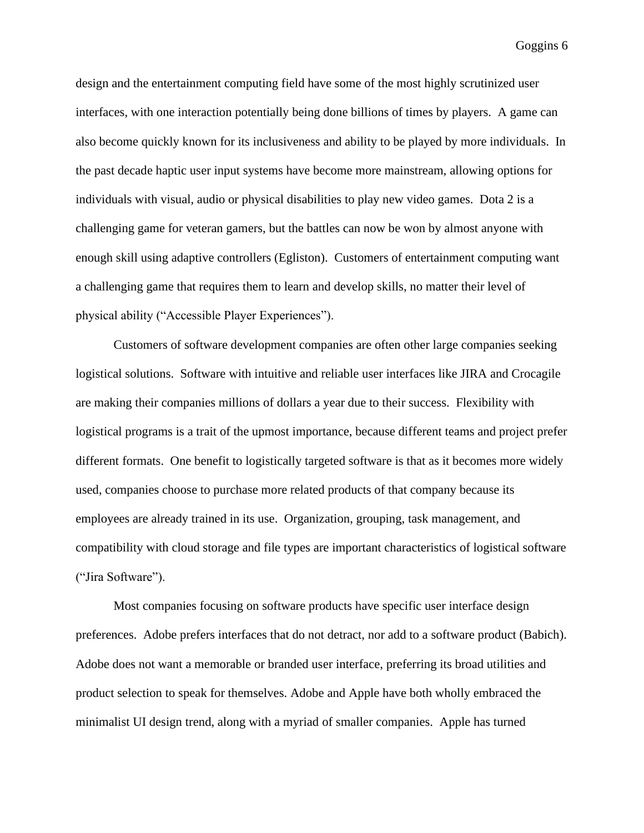design and the entertainment computing field have some of the most highly scrutinized user interfaces, with one interaction potentially being done billions of times by players. A game can also become quickly known for its inclusiveness and ability to be played by more individuals. In the past decade haptic user input systems have become more mainstream, allowing options for individuals with visual, audio or physical disabilities to play new video games. Dota 2 is a challenging game for veteran gamers, but the battles can now be won by almost anyone with enough skill using adaptive controllers (Egliston). Customers of entertainment computing want a challenging game that requires them to learn and develop skills, no matter their level of physical ability ("Accessible Player Experiences").

Customers of software development companies are often other large companies seeking logistical solutions. Software with intuitive and reliable user interfaces like JIRA and Crocagile are making their companies millions of dollars a year due to their success. Flexibility with logistical programs is a trait of the upmost importance, because different teams and project prefer different formats. One benefit to logistically targeted software is that as it becomes more widely used, companies choose to purchase more related products of that company because its employees are already trained in its use. Organization, grouping, task management, and compatibility with cloud storage and file types are important characteristics of logistical software ("Jira Software").

Most companies focusing on software products have specific user interface design preferences. Adobe prefers interfaces that do not detract, nor add to a software product (Babich). Adobe does not want a memorable or branded user interface, preferring its broad utilities and product selection to speak for themselves. Adobe and Apple have both wholly embraced the minimalist UI design trend, along with a myriad of smaller companies. Apple has turned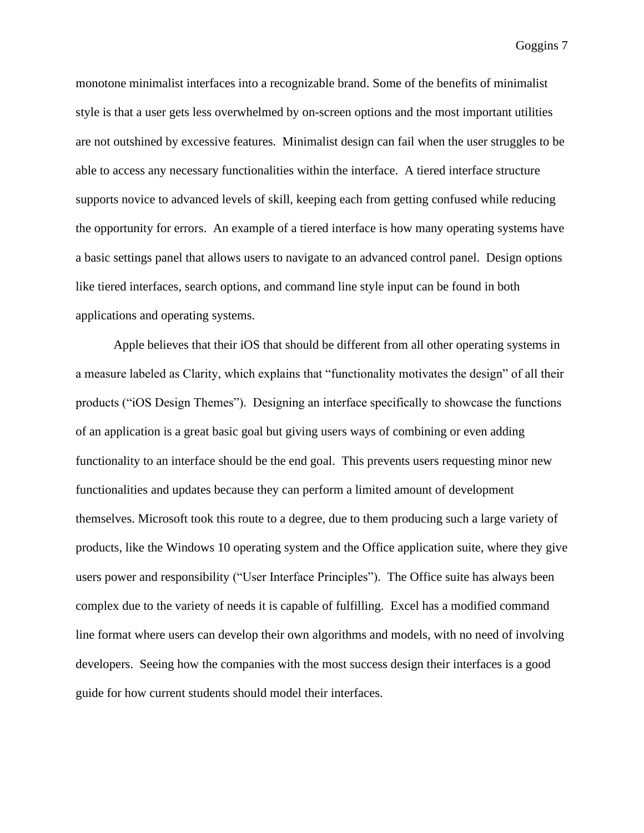monotone minimalist interfaces into a recognizable brand. Some of the benefits of minimalist style is that a user gets less overwhelmed by on-screen options and the most important utilities are not outshined by excessive features. Minimalist design can fail when the user struggles to be able to access any necessary functionalities within the interface. A tiered interface structure supports novice to advanced levels of skill, keeping each from getting confused while reducing the opportunity for errors. An example of a tiered interface is how many operating systems have a basic settings panel that allows users to navigate to an advanced control panel. Design options like tiered interfaces, search options, and command line style input can be found in both applications and operating systems.

Apple believes that their iOS that should be different from all other operating systems in a measure labeled as Clarity, which explains that "functionality motivates the design" of all their products ("iOS Design Themes"). Designing an interface specifically to showcase the functions of an application is a great basic goal but giving users ways of combining or even adding functionality to an interface should be the end goal. This prevents users requesting minor new functionalities and updates because they can perform a limited amount of development themselves. Microsoft took this route to a degree, due to them producing such a large variety of products, like the Windows 10 operating system and the Office application suite, where they give users power and responsibility ("User Interface Principles"). The Office suite has always been complex due to the variety of needs it is capable of fulfilling. Excel has a modified command line format where users can develop their own algorithms and models, with no need of involving developers. Seeing how the companies with the most success design their interfaces is a good guide for how current students should model their interfaces.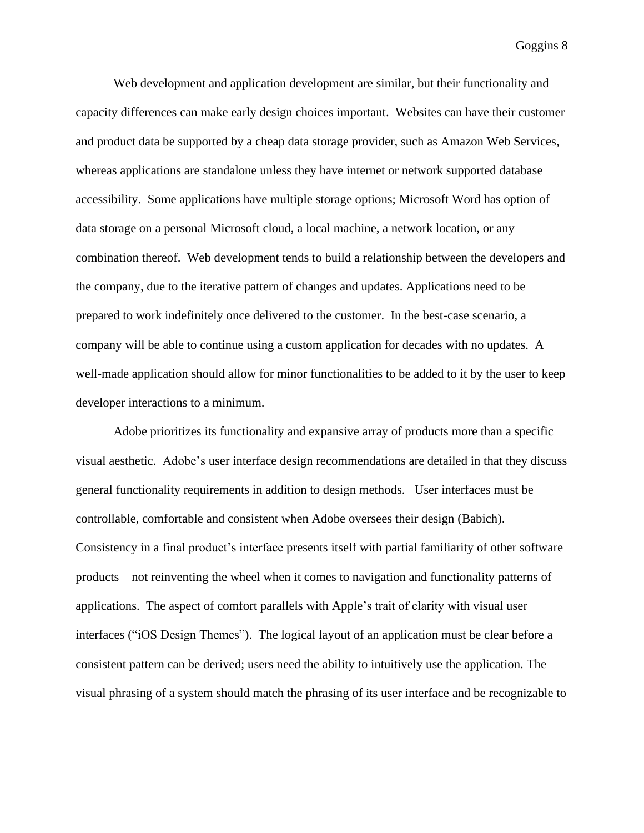Web development and application development are similar, but their functionality and capacity differences can make early design choices important. Websites can have their customer and product data be supported by a cheap data storage provider, such as Amazon Web Services, whereas applications are standalone unless they have internet or network supported database accessibility. Some applications have multiple storage options; Microsoft Word has option of data storage on a personal Microsoft cloud, a local machine, a network location, or any combination thereof. Web development tends to build a relationship between the developers and the company, due to the iterative pattern of changes and updates. Applications need to be prepared to work indefinitely once delivered to the customer. In the best-case scenario, a company will be able to continue using a custom application for decades with no updates. A well-made application should allow for minor functionalities to be added to it by the user to keep developer interactions to a minimum.

Adobe prioritizes its functionality and expansive array of products more than a specific visual aesthetic. Adobe's user interface design recommendations are detailed in that they discuss general functionality requirements in addition to design methods. User interfaces must be controllable, comfortable and consistent when Adobe oversees their design (Babich). Consistency in a final product's interface presents itself with partial familiarity of other software products – not reinventing the wheel when it comes to navigation and functionality patterns of applications. The aspect of comfort parallels with Apple's trait of clarity with visual user interfaces ("iOS Design Themes"). The logical layout of an application must be clear before a consistent pattern can be derived; users need the ability to intuitively use the application. The visual phrasing of a system should match the phrasing of its user interface and be recognizable to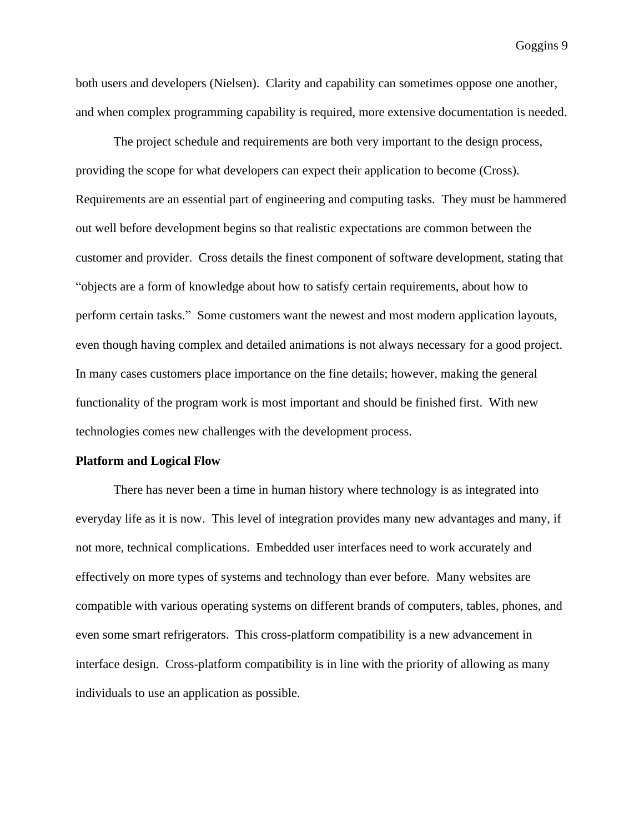both users and developers (Nielsen). Clarity and capability can sometimes oppose one another, and when complex programming capability is required, more extensive documentation is needed.

The project schedule and requirements are both very important to the design process, providing the scope for what developers can expect their application to become (Cross). Requirements are an essential part of engineering and computing tasks. They must be hammered out well before development begins so that realistic expectations are common between the customer and provider. Cross details the finest component of software development, stating that "objects are a form of knowledge about how to satisfy certain requirements, about how to perform certain tasks." Some customers want the newest and most modern application layouts, even though having complex and detailed animations is not always necessary for a good project. In many cases customers place importance on the fine details; however, making the general functionality of the program work is most important and should be finished first. With new technologies comes new challenges with the development process.

#### **Platform and Logical Flow**

There has never been a time in human history where technology is as integrated into everyday life as it is now. This level of integration provides many new advantages and many, if not more, technical complications. Embedded user interfaces need to work accurately and effectively on more types of systems and technology than ever before. Many websites are compatible with various operating systems on different brands of computers, tables, phones, and even some smart refrigerators. This cross-platform compatibility is a new advancement in interface design. Cross-platform compatibility is in line with the priority of allowing as many individuals to use an application as possible.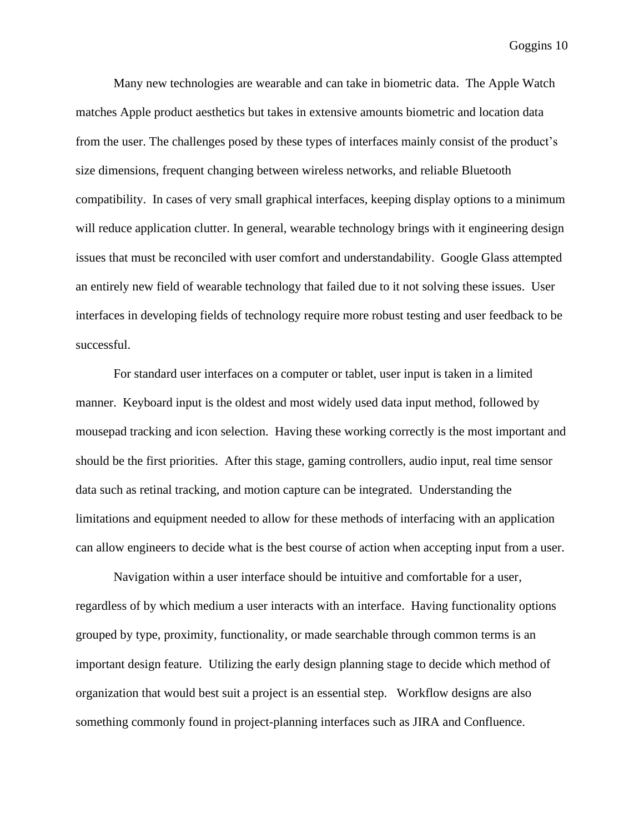Many new technologies are wearable and can take in biometric data. The Apple Watch matches Apple product aesthetics but takes in extensive amounts biometric and location data from the user. The challenges posed by these types of interfaces mainly consist of the product's size dimensions, frequent changing between wireless networks, and reliable Bluetooth compatibility. In cases of very small graphical interfaces, keeping display options to a minimum will reduce application clutter. In general, wearable technology brings with it engineering design issues that must be reconciled with user comfort and understandability. Google Glass attempted an entirely new field of wearable technology that failed due to it not solving these issues. User interfaces in developing fields of technology require more robust testing and user feedback to be successful.

For standard user interfaces on a computer or tablet, user input is taken in a limited manner. Keyboard input is the oldest and most widely used data input method, followed by mousepad tracking and icon selection. Having these working correctly is the most important and should be the first priorities. After this stage, gaming controllers, audio input, real time sensor data such as retinal tracking, and motion capture can be integrated. Understanding the limitations and equipment needed to allow for these methods of interfacing with an application can allow engineers to decide what is the best course of action when accepting input from a user.

Navigation within a user interface should be intuitive and comfortable for a user, regardless of by which medium a user interacts with an interface. Having functionality options grouped by type, proximity, functionality, or made searchable through common terms is an important design feature. Utilizing the early design planning stage to decide which method of organization that would best suit a project is an essential step. Workflow designs are also something commonly found in project-planning interfaces such as JIRA and Confluence.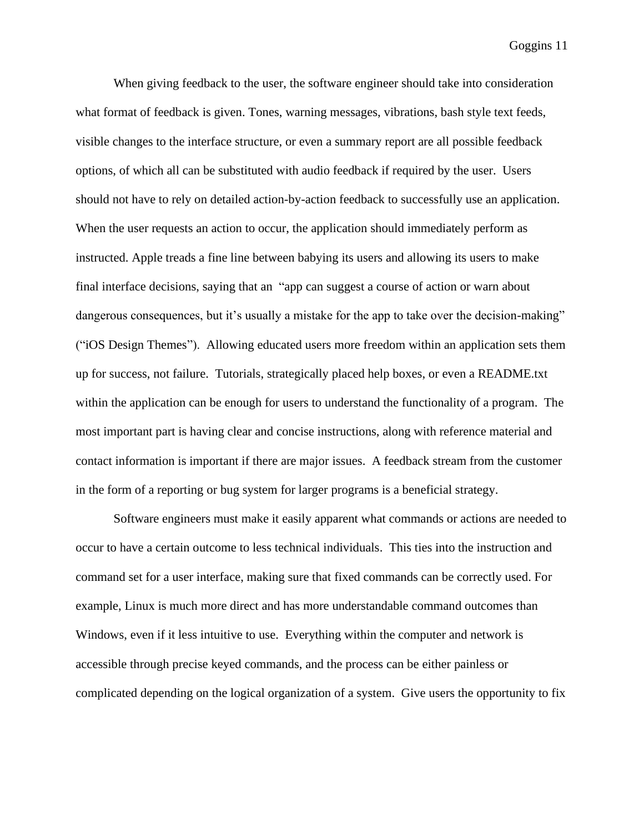When giving feedback to the user, the software engineer should take into consideration what format of feedback is given. Tones, warning messages, vibrations, bash style text feeds, visible changes to the interface structure, or even a summary report are all possible feedback options, of which all can be substituted with audio feedback if required by the user. Users should not have to rely on detailed action-by-action feedback to successfully use an application. When the user requests an action to occur, the application should immediately perform as instructed. Apple treads a fine line between babying its users and allowing its users to make final interface decisions, saying that an "app can suggest a course of action or warn about dangerous consequences, but it's usually a mistake for the app to take over the decision-making" ("iOS Design Themes"). Allowing educated users more freedom within an application sets them up for success, not failure. Tutorials, strategically placed help boxes, or even a README.txt within the application can be enough for users to understand the functionality of a program. The most important part is having clear and concise instructions, along with reference material and contact information is important if there are major issues. A feedback stream from the customer in the form of a reporting or bug system for larger programs is a beneficial strategy.

Software engineers must make it easily apparent what commands or actions are needed to occur to have a certain outcome to less technical individuals. This ties into the instruction and command set for a user interface, making sure that fixed commands can be correctly used. For example, Linux is much more direct and has more understandable command outcomes than Windows, even if it less intuitive to use. Everything within the computer and network is accessible through precise keyed commands, and the process can be either painless or complicated depending on the logical organization of a system. Give users the opportunity to fix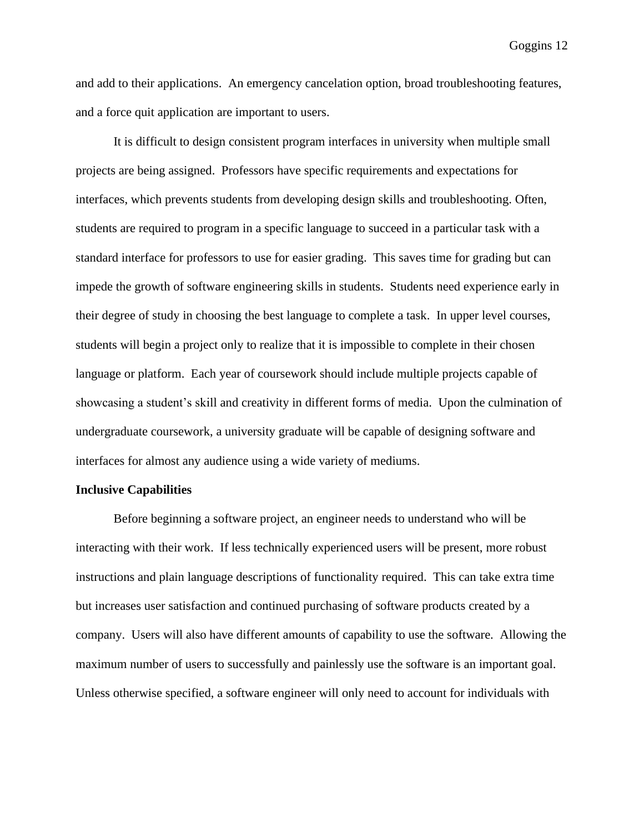and add to their applications. An emergency cancelation option, broad troubleshooting features, and a force quit application are important to users.

It is difficult to design consistent program interfaces in university when multiple small projects are being assigned. Professors have specific requirements and expectations for interfaces, which prevents students from developing design skills and troubleshooting. Often, students are required to program in a specific language to succeed in a particular task with a standard interface for professors to use for easier grading. This saves time for grading but can impede the growth of software engineering skills in students. Students need experience early in their degree of study in choosing the best language to complete a task. In upper level courses, students will begin a project only to realize that it is impossible to complete in their chosen language or platform. Each year of coursework should include multiple projects capable of showcasing a student's skill and creativity in different forms of media. Upon the culmination of undergraduate coursework, a university graduate will be capable of designing software and interfaces for almost any audience using a wide variety of mediums.

### **Inclusive Capabilities**

Before beginning a software project, an engineer needs to understand who will be interacting with their work. If less technically experienced users will be present, more robust instructions and plain language descriptions of functionality required. This can take extra time but increases user satisfaction and continued purchasing of software products created by a company. Users will also have different amounts of capability to use the software. Allowing the maximum number of users to successfully and painlessly use the software is an important goal. Unless otherwise specified, a software engineer will only need to account for individuals with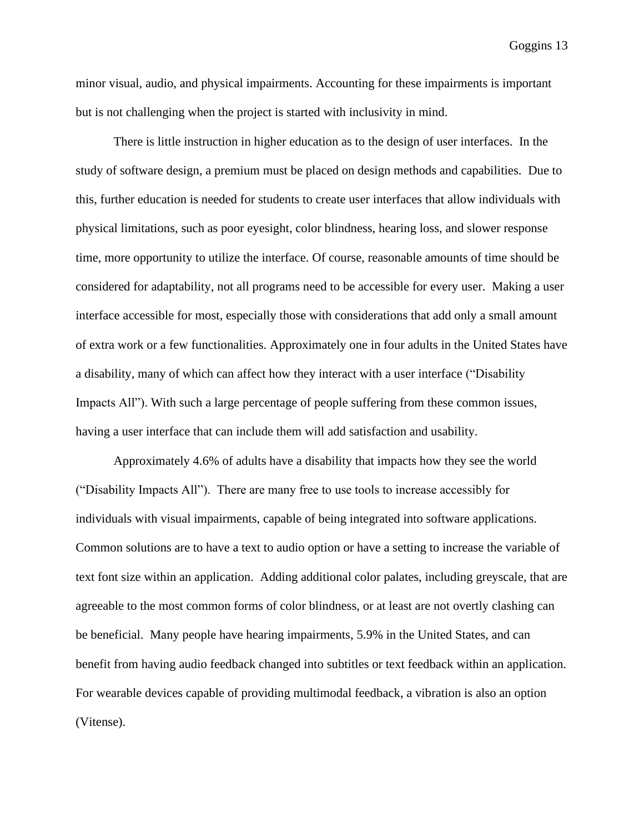minor visual, audio, and physical impairments. Accounting for these impairments is important but is not challenging when the project is started with inclusivity in mind.

There is little instruction in higher education as to the design of user interfaces. In the study of software design, a premium must be placed on design methods and capabilities. Due to this, further education is needed for students to create user interfaces that allow individuals with physical limitations, such as poor eyesight, color blindness, hearing loss, and slower response time, more opportunity to utilize the interface. Of course, reasonable amounts of time should be considered for adaptability, not all programs need to be accessible for every user. Making a user interface accessible for most, especially those with considerations that add only a small amount of extra work or a few functionalities. Approximately one in four adults in the United States have a disability, many of which can affect how they interact with a user interface ("Disability Impacts All"). With such a large percentage of people suffering from these common issues, having a user interface that can include them will add satisfaction and usability.

Approximately 4.6% of adults have a disability that impacts how they see the world ("Disability Impacts All"). There are many free to use tools to increase accessibly for individuals with visual impairments, capable of being integrated into software applications. Common solutions are to have a text to audio option or have a setting to increase the variable of text font size within an application. Adding additional color palates, including greyscale, that are agreeable to the most common forms of color blindness, or at least are not overtly clashing can be beneficial. Many people have hearing impairments, 5.9% in the United States, and can benefit from having audio feedback changed into subtitles or text feedback within an application. For wearable devices capable of providing multimodal feedback, a vibration is also an option (Vitense).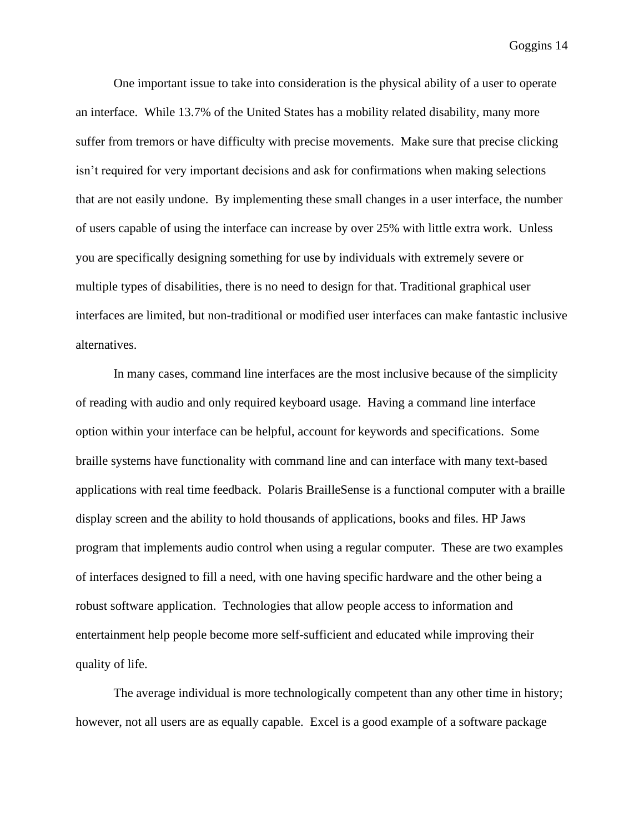One important issue to take into consideration is the physical ability of a user to operate an interface. While 13.7% of the United States has a mobility related disability, many more suffer from tremors or have difficulty with precise movements. Make sure that precise clicking isn't required for very important decisions and ask for confirmations when making selections that are not easily undone. By implementing these small changes in a user interface, the number of users capable of using the interface can increase by over 25% with little extra work. Unless you are specifically designing something for use by individuals with extremely severe or multiple types of disabilities, there is no need to design for that. Traditional graphical user interfaces are limited, but non-traditional or modified user interfaces can make fantastic inclusive alternatives.

In many cases, command line interfaces are the most inclusive because of the simplicity of reading with audio and only required keyboard usage. Having a command line interface option within your interface can be helpful, account for keywords and specifications. Some braille systems have functionality with command line and can interface with many text-based applications with real time feedback. Polaris BrailleSense is a functional computer with a braille display screen and the ability to hold thousands of applications, books and files. HP Jaws program that implements audio control when using a regular computer. These are two examples of interfaces designed to fill a need, with one having specific hardware and the other being a robust software application. Technologies that allow people access to information and entertainment help people become more self-sufficient and educated while improving their quality of life.

The average individual is more technologically competent than any other time in history; however, not all users are as equally capable. Excel is a good example of a software package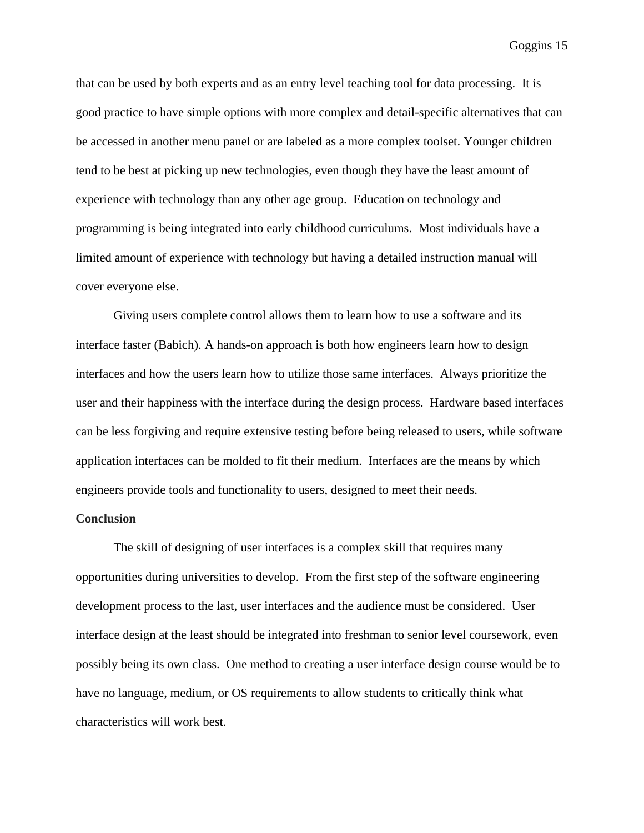that can be used by both experts and as an entry level teaching tool for data processing. It is good practice to have simple options with more complex and detail-specific alternatives that can be accessed in another menu panel or are labeled as a more complex toolset. Younger children tend to be best at picking up new technologies, even though they have the least amount of experience with technology than any other age group. Education on technology and programming is being integrated into early childhood curriculums. Most individuals have a limited amount of experience with technology but having a detailed instruction manual will cover everyone else.

Giving users complete control allows them to learn how to use a software and its interface faster (Babich). A hands-on approach is both how engineers learn how to design interfaces and how the users learn how to utilize those same interfaces. Always prioritize the user and their happiness with the interface during the design process. Hardware based interfaces can be less forgiving and require extensive testing before being released to users, while software application interfaces can be molded to fit their medium. Interfaces are the means by which engineers provide tools and functionality to users, designed to meet their needs.

### **Conclusion**

The skill of designing of user interfaces is a complex skill that requires many opportunities during universities to develop. From the first step of the software engineering development process to the last, user interfaces and the audience must be considered. User interface design at the least should be integrated into freshman to senior level coursework, even possibly being its own class. One method to creating a user interface design course would be to have no language, medium, or OS requirements to allow students to critically think what characteristics will work best.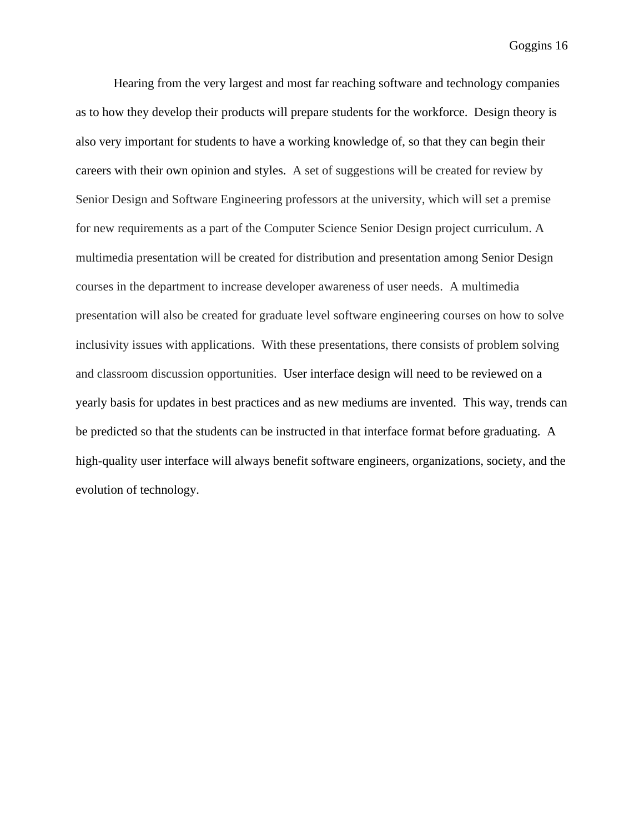Hearing from the very largest and most far reaching software and technology companies as to how they develop their products will prepare students for the workforce. Design theory is also very important for students to have a working knowledge of, so that they can begin their careers with their own opinion and styles. A set of suggestions will be created for review by Senior Design and Software Engineering professors at the university, which will set a premise for new requirements as a part of the Computer Science Senior Design project curriculum. A multimedia presentation will be created for distribution and presentation among Senior Design courses in the department to increase developer awareness of user needs. A multimedia presentation will also be created for graduate level software engineering courses on how to solve inclusivity issues with applications. With these presentations, there consists of problem solving and classroom discussion opportunities. User interface design will need to be reviewed on a yearly basis for updates in best practices and as new mediums are invented. This way, trends can be predicted so that the students can be instructed in that interface format before graduating. A high-quality user interface will always benefit software engineers, organizations, society, and the evolution of technology.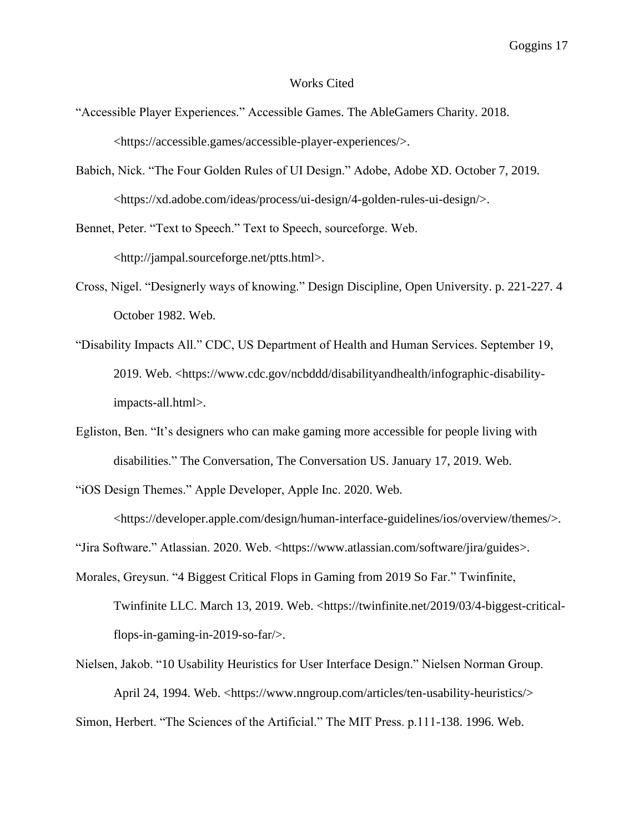#### Works Cited

- "Accessible Player Experiences." Accessible Games. The AbleGamers Charity. 2018. <https://accessible.games/accessible-player-experiences/>.
- Babich, Nick. "The Four Golden Rules of UI Design." Adobe, Adobe XD. October 7, 2019. <https://xd.adobe.com/ideas/process/ui-design/4-golden-rules-ui-design/>.
- Bennet, Peter. "Text to Speech." Text to Speech, sourceforge. Web. <http://jampal.sourceforge.net/ptts.html>.
- Cross, Nigel. "Designerly ways of knowing." Design Discipline, Open University. p. 221-227. 4 October 1982. Web.
- "Disability Impacts All." CDC, US Department of Health and Human Services. September 19, 2019. Web. <https://www.cdc.gov/ncbddd/disabilityandhealth/infographic-disabilityimpacts-all.html>.
- Egliston, Ben. "It's designers who can make gaming more accessible for people living with disabilities." The Conversation, The Conversation US. January 17, 2019. Web.
- "iOS Design Themes." Apple Developer, Apple Inc. 2020. Web.

<https://developer.apple.com/design/human-interface-guidelines/ios/overview/themes/>.

"Jira Software." Atlassian. 2020. Web. <https://www.atlassian.com/software/jira/guides>.

- Morales, Greysun. "4 Biggest Critical Flops in Gaming from 2019 So Far." Twinfinite, Twinfinite LLC. March 13, 2019. Web. <https://twinfinite.net/2019/03/4-biggest-criticalflops-in-gaming-in-2019-so-far/>.
- Nielsen, Jakob. "10 Usability Heuristics for User Interface Design." Nielsen Norman Group. April 24, 1994. Web. <https://www.nngroup.com/articles/ten-usability-heuristics/>

Simon, Herbert. "The Sciences of the Artificial." The MIT Press. p.111-138. 1996. Web.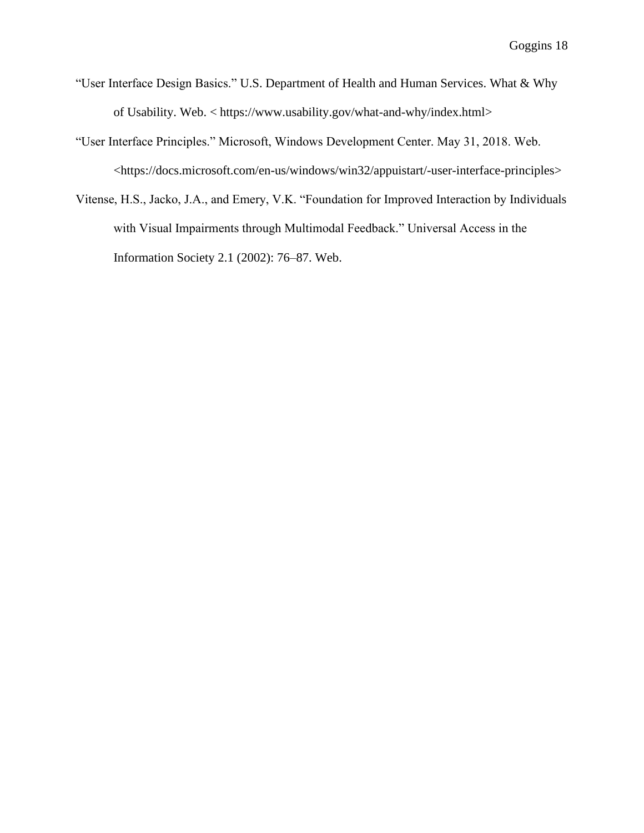- "User Interface Design Basics." U.S. Department of Health and Human Services. What & Why of Usability. Web. < https://www.usability.gov/what-and-why/index.html>
- "User Interface Principles." Microsoft, Windows Development Center. May 31, 2018. Web. <https://docs.microsoft.com/en-us/windows/win32/appuistart/-user-interface-principles>
- Vitense, H.S., Jacko, J.A., and Emery, V.K. "Foundation for Improved Interaction by Individuals with Visual Impairments through Multimodal Feedback." Universal Access in the Information Society 2.1 (2002): 76–87. Web.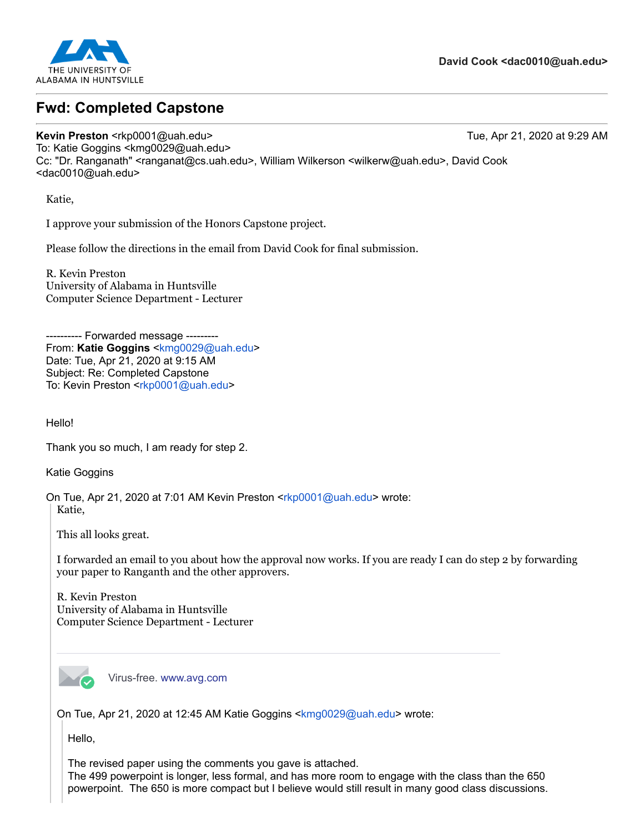

# **Fwd: Completed Capstone**

**Kevin Preston** <rkp0001@uah.edu> Tue, Apr 21, 2020 at 9:29 AM To: Katie Goggins <kmg0029@uah.edu> Cc: "Dr. Ranganath" <ranganat@cs.uah.edu>, William Wilkerson <wilkerw@uah.edu>, David Cook <dac0010@uah.edu>

Katie,

I approve your submission of the Honors Capstone project.

Please follow the directions in the email from David Cook for final submission.

R. Kevin Preston University of Alabama in Huntsville Computer Science Department - Lecturer

--- Forwarded message ---From: **Katie Goggins** <[kmg0029@uah.edu>](mailto:kmg0029@uah.edu) Date: Tue, Apr 21, 2020 at 9:15 AM Subject: Re: Completed Capstone To: Kevin Preston <[rkp0001@uah.edu](mailto:rkp0001@uah.edu)>

Hello!

Thank you so much, I am ready for step 2.

Katie Goggins

On Tue, Apr 21, 2020 at 7:01 AM Kevin Preston <[rkp0001@uah.edu](mailto:rkp0001@uah.edu)> wrote: Katie,

This all looks great.

I forwarded an email to you about how the approval now works. If you are ready I can do step 2 by forwarding your paper to Ranganth and the other approvers.

R. Kevin Preston University of Alabama in Huntsville Computer Science Department - Lecturer



Virus-free. [www.avg.com](http://www.avg.com/email-signature?utm_medium=email&utm_source=link&utm_campaign=sig-email&utm_content=webmail)

On Tue, Apr 21, 2020 at 12:45 AM Katie Goggins <[kmg0029@uah.edu](mailto:kmg0029@uah.edu)> wrote:

Hello,

The revised paper using the comments you gave is attached. The 499 powerpoint is longer, less formal, and has more room to engage with the class than the 650 powerpoint. The 650 is more compact but I believe would still result in many good class discussions.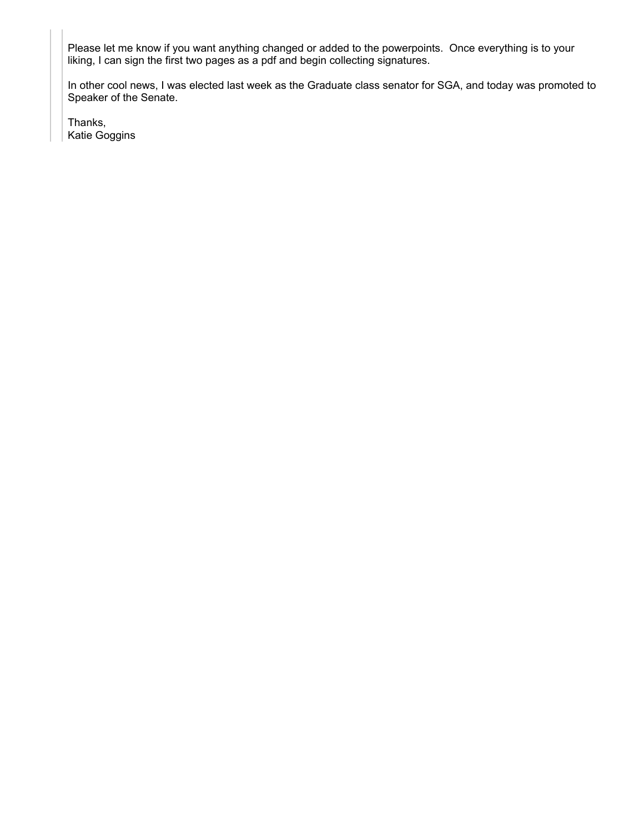Please let me know if you want anything changed or added to the powerpoints. Once everything is to your liking, I can sign the first two pages as a pdf and begin collecting signatures.

In other cool news, I was elected last week as the Graduate class senator for SGA, and today was promoted to Speaker of the Senate.

Thanks, Katie Goggins